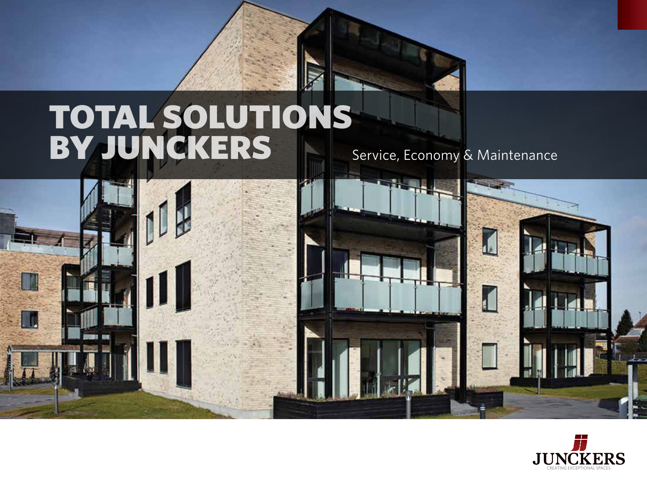# total solutions by Junckers

Service, Economy & Maintenance





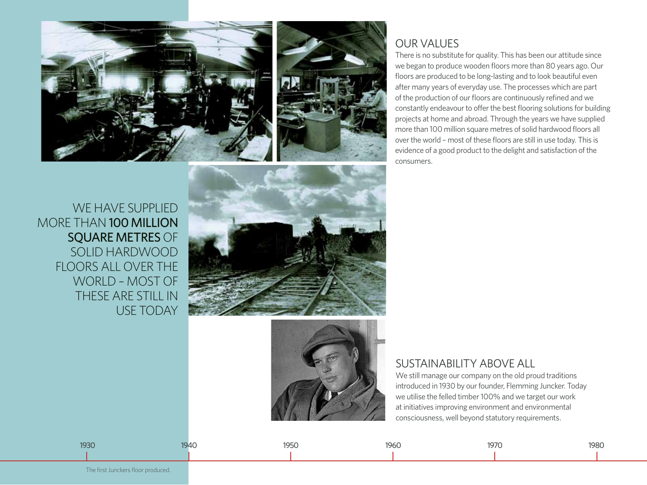



## OUR VALUES

There is no substitute for quality. This has been our attitude since we began to produce wooden floors more than 80 years ago. Our floors are produced to be long-lasting and to look beautiful even after many years of everyday use. The processes which are part of the production of our floors are continuously refined and we constantly endeavour to offer the best flooring solutions for building projects at home and abroad. Through the years we have supplied more than 100 million square metres of solid hardwood floors all over the world – most of these floors are still in use today. This is evidence of a good product to the delight and satisfaction of the consumers.

WF HAVE SUPPLIFD more than 100 million square metres OF SOLID HARDWOOD FLOORSALL OVER THE WORLD – MOST OF THESEARE STILL IN USE TODAY

## SUSTAINABILITY ABOVE ALL

We still manage our company on the old proud traditions introduced in 1930 by our founder, Flemming Juncker. Today we utilise the felled timber 100% and we target our work at initiatives improving environment and environmental consciousness, well beyond statutory requirements.



1930 1940 1940 1950 1950 1960 1960 1960 1970 1980 1980 1980 1980 1980 1980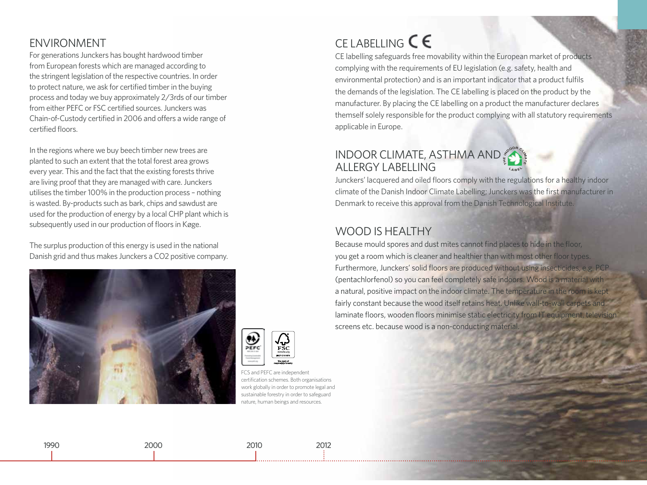## ENVIRONMENT

For generations Junckers has bought hardwood timber from European forests which are managed according to the stringent legislation of the respective countries. In order to protect nature, we ask for certified timber in the buying process and today we buy approximately 2/3rds of our timber from either PEFC or FSC certified sources. Junckers was Chain-of-Custody certified in 2006 and offers a wide range of certified floors.

In the regions where we buy beech timber new trees are planted to such an extent that the total forest area grows every year. This and the fact that the existing forests thrive are living proof that they are managed with care. Junckers utilises the timber 100% in the production process – nothing is wasted. By-products such as bark, chips and sawdust are used for the production of energy by a local CHP plant which is subsequently used in our production of floors in Køge.

The surplus production of this energy is used in the national Danish grid and thus makes Junckers a CO2 positive company.





FCS and PEFC are independent certification schemes. Both organisations work globally in order to promote legal and sustainable forestry in order to safeguard nature, human beings and resources.

## CELABELLING  $\mathsf{C}\mathsf{E}$

CE labelling safeguards free movability within the European market of products complying with the requirements of EU legislation (e.g. safety, health and environmental protection) and is an important indicator that a product fulfils the demands of the legislation. The CE labelling is placed on the product by the manufacturer. By placing the CE labelling on a product the manufacturer declares themself solely responsible for the product complying with all statutory requirements applicable in Europe.

## **INDOOR CLIMATE, ASTHMA AND** ALLERGY LABELLING

Junckers' lacquered and oiled floors comply with the regulations for a healthy indoor climate of the Danish Indoor Climate Labelling; Junckers was the first manufacturer in Denmark to receive this approval from the Danish Technological Institute.

## WOOD IS HEALTHY

Because mould spores and dust mites cannot find places to hide in the floor, you get a room which is cleaner and healthier than with most other floor types. Furthermore, Junckers' solid floors are produced without using insecticides, e.g. PCP (pentachlorfenol) so you can feel completely safe indoors. Wood is a material with a natural, positive impact on the indoor climate. The temperature in the room is kept fairly constant because the wood itself retains heat. Unlike wall-to-wall carpets and laminate floors, wooden floors minimise static electricity from IT equipment, television screens etc. because wood is a non-conducting material.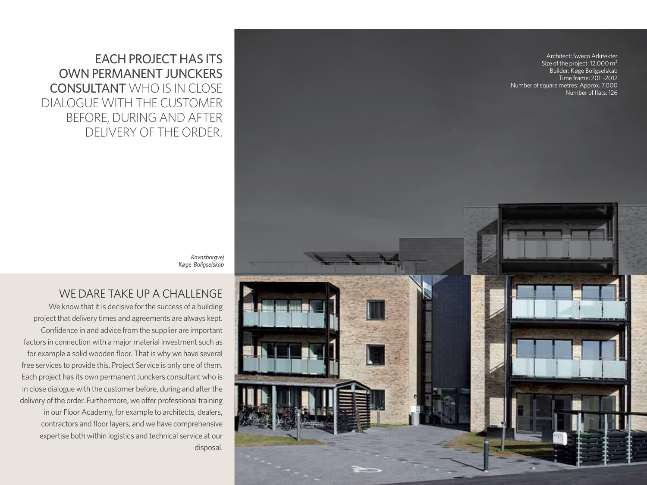EACH PROJECT HAS ITS OWN PERMANENT JUNCKERS CONSULTANT WHO IS IN CLOSE DIALOGUE WITH THE CUSTOMER BEFORE, DURING AND AFTER DELIVERY OF THE ORDER.

Architect: Sweco Arkitekter Size of the project: 12,000 m<sup>2</sup> Builder: Køge Boligselskab Time frame: 2011-2012 Number of square metres: Approx. 7,000 Number of flats: 126

*Ravnsborgvej Køge Boligselskab*

### WE DARE TAKE UP A CHALLENGE

We know that it is decisive for the success of a building project that delivery times and agreements are always kept. Confidence in and advice from the supplier are important factors in connection with a major material investment such as for example a solid wooden floor. That is why we have several free services to provide this. Project Service is only one of them. Each project has its own permanent Junckers consultant who is in close dialogue with the customer before, during and after the delivery of the order. Furthermore, we offer professional training in our Floor Academy, for example to architects, dealers, contractors and floor layers, and we have comprehensive expertise both within logistics and technical service at our disposal.

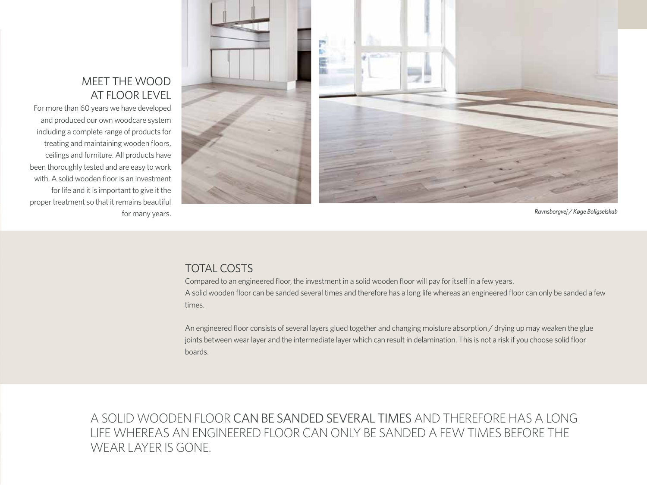## MEET THE WOOD AT FLOOR LEVEL

For more than 60 years we have developed and produced our own woodcare system including a complete range of products for treating and maintaining wooden floors, ceilings and furniture. All products have been thoroughly tested and are easy to work with. A solid wooden floor is an investment for life and it is important to give it the proper treatment so that it remains beautiful for many years.



*Ravnsborgvej / Køge Boligselskab*

## TOTAL COSTS

Compared to an engineered floor, the investment in a solid wooden floor will pay for itself in a few years. A solid wooden floor can be sanded several times and therefore has a long life whereas an engineered floor can only be sanded a few times.

An engineered floor consists of several layers glued together and changing moisture absorption / drying up may weaken the glue joints between wear layer and the intermediate layer which can result in delamination. This is not a risk if you choose solid floor boards.

a solid wooden floor CAN BE SANDED SEVERAL TIMES ANDTHEREFORE HASALONG LIFE WHEREAS AN ENGINEERED FLOOR CAN ONLY BE SANDED A FEW TIMES BEFORE THE WEAR LAYER IS GONE.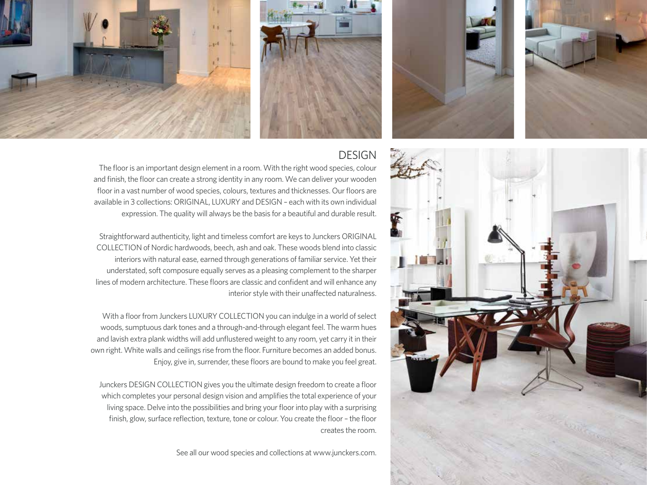







The floor is an important design element in a room. With the right wood species, colour and finish, the floor can create a strong identity in any room. We can deliver your wooden floor in a vast number of wood species, colours, textures and thicknesses. Our floors are available in 3 collections: ORIGINAL, LUXURY and DESIGN – each with its own individual expression. The quality will always be the basis for a beautiful and durable result.

Straightforward authenticity, light and timeless comfort are keys to Junckers ORIGINAL COLLECTION of Nordic hardwoods, beech, ash and oak. These woods blend into classic interiors with natural ease, earned through generations of familiar service. Yet their understated, soft composure equally serves as a pleasing complement to the sharper lines of modern architecture. These floors are classic and confident and will enhance any interior style with their unaffected naturalness.

With a floor from Junckers LUXURY COLLECTION you can indulge in a world of select woods, sumptuous dark tones and a through-and-through elegant feel. The warm hues and lavish extra plank widths will add unflustered weight to any room, yet carry it in their own right. White walls and ceilings rise from the floor. Furniture becomes an added bonus. Enjoy, give in, surrender, these floors are bound to make you feel great.

Junckers DESIGN COLLECTION gives you the ultimate design freedom to create a floor which completes your personal design vision and amplifies the total experience of your living space. Delve into the possibilities and bring your floor into play with a surprising finish, glow, surface reflection, texture, tone or colour. You create the floor – the floor creates the room.

See all our wood species and collections at www.junckers.com.

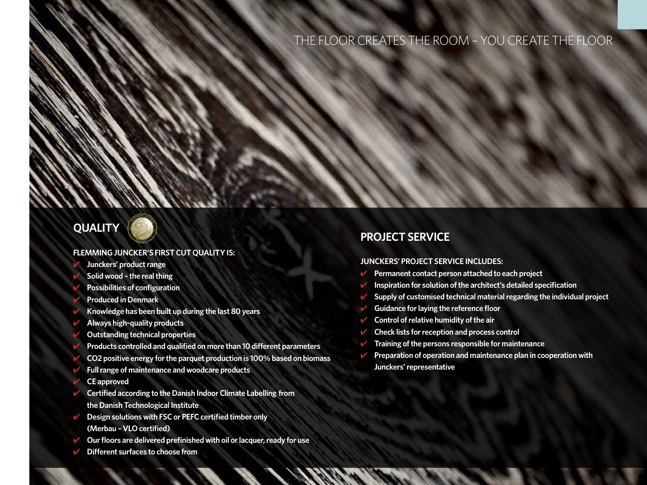## THE FLOOR CREATES THE ROOM – YOU CREATE THE FLOOR

## **quality**

#### **FLEMMING JUNCKER'S FIRST CUT QUALITYIS:**

- ✔ **Junckers' product range**
- ✔ **Solid wood the real thing**
- ✔ **Possibilities of configuration**
- ✔ **Produced in Denmark**
- ✔ **Knowledge has been built up during the last 80 years**
- ✔ **Always high-quality products**
- ✔ **Outstanding technical properties**
- ✔ **Products controlled and qualified on more than 10 different parameters**
- ✔ **CO2 positive energy for the parquet production is 100% based on biomass**
- ✔ **Full range of maintenance and woodcare products**
- ✔ **CE approved**
- ✔ **Certified according to the Danish Indoor Climate Labelling from the Danish Technological Institute**
- ✔ **Design solutions with FSC or PEFC certified timber only (Merbau – VLO certified)**
- ✔ **Our floors are delivered prefinished with oil or lacquer, ready for use**
- ✔ **Different surfaces to choose from**

#### **Project service**

#### **JUNCKERS' PROJECT SERVICE INCLUDES:**

- ✔ **Permanent contact person attached to each project**
- ✔ **Inspiration for solution of the architect's detailed specification**
- ✔ **Supply of customised technical material regarding the individual project**
- ✔ **Guidance for laying the reference floor**
- ✔ **Control of relative humidity of the air**
- ✔ **Check lists for reception and process control**
- ✔ **Training of the persons responsible for maintenance**
- ✔ **Preparation of operation and maintenance plan in cooperation with Junckers' representative**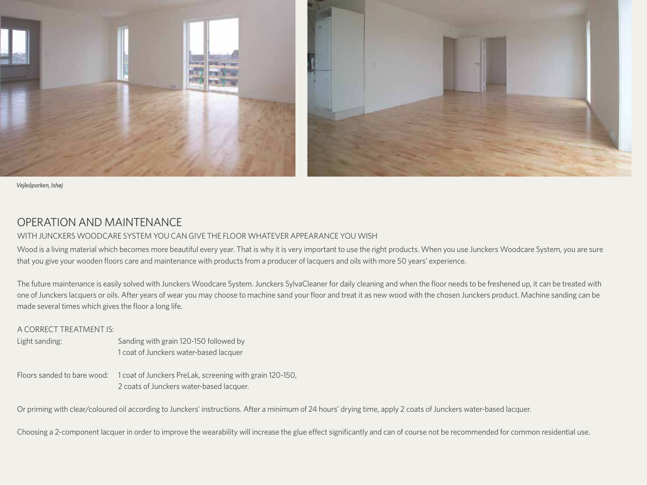

*Vejleåparken, Ishøj*

## OPERATION AND MAINTENANCE

#### WITH JUNCKERS WOODCARE SYSTEM YOU CAN GIVE THE FLOOR WHATEVER APPEARANCE YOU WISH

Wood is a living material which becomes more beautiful every year. That is why it is very important to use the right products. When you use Junckers Woodcare System, you are sure that you give your wooden floors care and maintenance with products from a producer of lacquers and oils with more 50 years' experience.

The future maintenance is easily solved with Junckers Woodcare System. Junckers SylvaCleaner for daily cleaning and when the floor needs to be freshened up, it can be treated with one of Junckers lacquers or oils. After years of wear you may choose to machine sand your floor and treat it as new wood with the chosen Junckers product. Machine sanding can be made several times which gives the floor a long life.

#### A CORRECT TREATMENT IS:

- Light sanding: Sanding with grain 120-150 followed by 1 coat of Junckers water-based lacquer
- Floors sanded to bare wood: 1 coat of Junckers PreLak, screening with grain 120-150, 2 coats of Junckers water-based lacquer.

Or priming with clear/coloured oil according to Junckers' instructions. After a minimum of 24 hours' drying time, apply 2 coats of Junckers water-based lacquer.

Choosing a 2-component lacquer in order to improve the wearability will increase the glue effect significantly and can of course not be recommended for common residential use.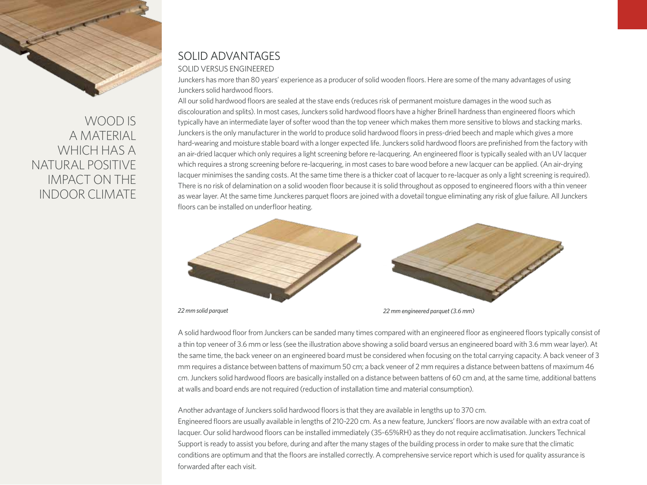

WOODIS A MATERIAL WHICH HAS A NATURAL POSITIVE IMPACT ON THE INDOOR CLIMATE

#### SOLID ADVANTAGES SOLID VERSUS ENGINEERED

Junckers has more than 80 years' experience as a producer of solid wooden floors. Here are some of the many advantages of using Junckers solid hardwood floors.

All our solid hardwood floors are sealed at the stave ends (reduces risk of permanent moisture damages in the wood such as discolouration and splits). In most cases, Junckers solid hardwood floors have a higher Brinell hardness than engineered floors which typically have an intermediate layer of softer wood than the top veneer which makes them more sensitive to blows and stacking marks. Junckers is the only manufacturer in the world to produce solid hardwood floors in press-dried beech and maple which gives a more hard-wearing and moisture stable board with a longer expected life. Junckers solid hardwood floors are prefinished from the factory with an air-dried lacquer which only requires a light screening before re-lacquering. An engineered floor is typically sealed with an UV lacquer which requires a strong screening before re-lacquering, in most cases to bare wood before a new lacquer can be applied. (An air-drying lacquer minimises the sanding costs. At the same time there is a thicker coat of lacquer to re-lacquer as only a light screening is required). There is no risk of delamination on a solid wooden floor because it is solid throughout as opposed to engineered floors with a thin veneer as wear layer. At the same time Junckeres parquet floors are joined with a dovetail tongue eliminating any risk of glue failure. All Junckers floors can be installed on underfloor heating.



*22 mm solid parquet 22 mm engineered parquet (3.6 mm)*

A solid hardwood floor from Junckers can be sanded many times compared with an engineered floor as engineered floors typically consist of a thin top veneer of 3.6 mm or less (see the illustration above showing a solid board versus an engineered board with 3.6 mm wear layer). At the same time, the back veneer on an engineered board must be considered when focusing on the total carrying capacity. A back veneer of 3 mm requires a distance between battens of maximum 50 cm; a back veneer of 2 mm requires a distance between battens of maximum 46 cm. Junckers solid hardwood floors are basically installed on a distance between battens of 60 cm and, at the same time, additional battens at walls and board ends are not required (reduction of installation time and material consumption).

Another advantage of Junckers solid hardwood floors is that they are available in lengths up to 370 cm.

Engineered floors are usually available in lengths of 210-220 cm. As a new feature, Junckers' floors are now available with an extra coat of lacquer. Our solid hardwood floors can be installed immediately (35-65%RH) as they do not require acclimatisation. Junckers Technical Support is ready to assist you before, during and after the many stages of the building process in order to make sure that the climatic conditions are optimum and that the floors are installed correctly. A comprehensive service report which is used for quality assurance is forwarded after each visit.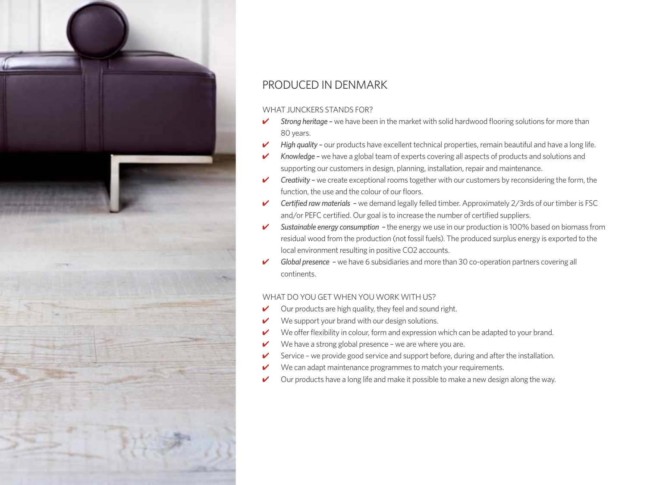

## PRODUCED IN DENMARK

#### WHAT IUNCKERS STANDS FOR?

- ✔ *Strong heritage –* we have been in the market with solid hardwood flooring solutions for more than 80 years.
- ✔ *High quality –* our products have excellent technical properties, remain beautiful and have a long life.
- ✔ *Knowledge* we have a global team of experts covering all aspects of products and solutions and supporting our customers in design, planning, installation, repair and maintenance.
- ✔ *Creativity* we create exceptional rooms together with our customers by reconsidering the form, the function, the use and the colour of our floors.
- ✔ *Certified raw materials –* we demand legally felled timber. Approximately 2/3rds of our timber is FSC and/or PEFC certified. Our goal is to increase the number of certified suppliers.
- ✔ *Sustainable energy consumption* the energy we use in our production is 100% based on biomass from residual wood from the production (not fossil fuels). The produced surplus energy is exported to the local environment resulting in positive CO2 accounts.
- ✔ *Global presence –* we have 6 subsidiaries and more than 30 co-operation partners covering all continents.

#### WHAT DO YOU GET WHEN YOU WORK WITH US?

- Our products are high quality, they feel and sound right.
- We support your brand with our design solutions.
- We offer flexibility in colour, form and expression which can be adapted to your brand.
- We have a strong global presence we are where you are.
- Service we provide good service and support before, during and after the installation.
- We can adapt maintenance programmes to match your requirements.
- $\vee$  Our products have a long life and make it possible to make a new design along the way.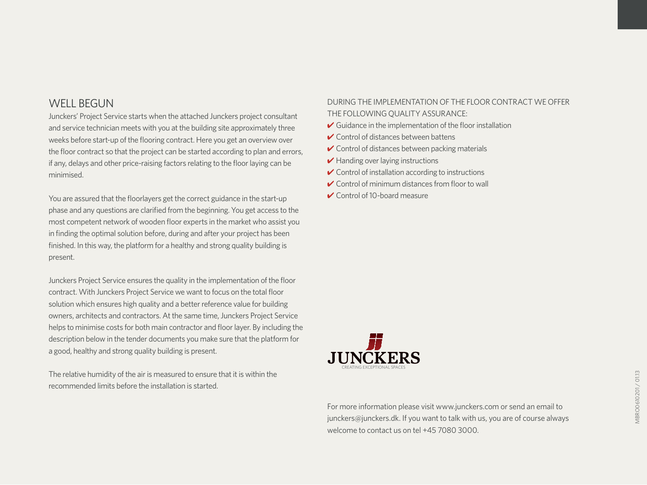## WFII BEGUN

Junckers' Project Service starts when the attached Junckers project consultant and service technician meets with you at the building site approximately three weeks before start-up of the flooring contract. Here you get an overview over the floor contract so that the project can be started according to plan and errors, if any, delays and other price-raising factors relating to the floor laying can be minimised.

You are assured that the floorlayers get the correct guidance in the start-up phase and any questions are clarified from the beginning. You get access to the most competent network of wooden floor experts in the market who assist you in finding the optimal solution before, during and after your project has been finished. In this way, the platform for a healthy and strong quality building is present.

Junckers Project Service ensures the quality in the implementation of the floor contract. With Junckers Project Service we want to focus on the total floor solution which ensures high quality and a better reference value for building owners, architects and contractors. At the same time, Junckers Project Service helps to minimise costs for both main contractor and floor layer. By including the description below in the tender documents you make sure that the platform for a good, healthy and strong quality building is present.

The relative humidity of the air is measured to ensure that it is within the recommended limits before the installation is started.

#### DURING THE IMPLEMENTATION OF THE FLOOR CONTRACT WE OFFER THE FOLLOWING QUALITY ASSURANCE:

- $\vee$  Guidance in the implementation of the floor installation
- ✔ Control of distances between battens
- $\vee$  Control of distances between packing materials
- $\blacktriangleright$  Handing over laying instructions
- $\vee$  Control of installation according to instructions
- $\vee$  Control of minimum distances from floor to wall
- ✔ Control of 10-board measure



For more information please visit www.junckers.com or send an email to junckers@junckers.dk. If you want to talk with us, you are of course always welcome to contact us on tel +45 7080 3000.